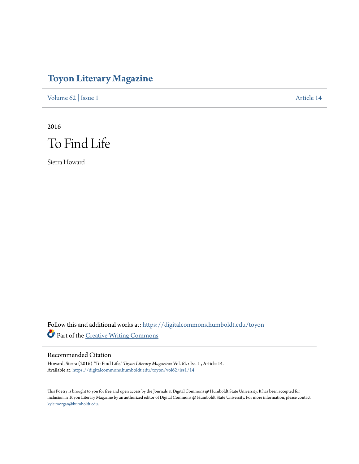## **[Toyon Literary Magazine](https://digitalcommons.humboldt.edu/toyon?utm_source=digitalcommons.humboldt.edu%2Ftoyon%2Fvol62%2Fiss1%2F14&utm_medium=PDF&utm_campaign=PDFCoverPages)**

[Volume 62](https://digitalcommons.humboldt.edu/toyon/vol62?utm_source=digitalcommons.humboldt.edu%2Ftoyon%2Fvol62%2Fiss1%2F14&utm_medium=PDF&utm_campaign=PDFCoverPages) | [Issue 1](https://digitalcommons.humboldt.edu/toyon/vol62/iss1?utm_source=digitalcommons.humboldt.edu%2Ftoyon%2Fvol62%2Fiss1%2F14&utm_medium=PDF&utm_campaign=PDFCoverPages) [Article 14](https://digitalcommons.humboldt.edu/toyon/vol62/iss1/14?utm_source=digitalcommons.humboldt.edu%2Ftoyon%2Fvol62%2Fiss1%2F14&utm_medium=PDF&utm_campaign=PDFCoverPages)

2016 To Find Life

Sierra Howard

Follow this and additional works at: [https://digitalcommons.humboldt.edu/toyon](https://digitalcommons.humboldt.edu/toyon?utm_source=digitalcommons.humboldt.edu%2Ftoyon%2Fvol62%2Fiss1%2F14&utm_medium=PDF&utm_campaign=PDFCoverPages) Part of the [Creative Writing Commons](http://network.bepress.com/hgg/discipline/574?utm_source=digitalcommons.humboldt.edu%2Ftoyon%2Fvol62%2Fiss1%2F14&utm_medium=PDF&utm_campaign=PDFCoverPages)

## Recommended Citation

Howard, Sierra (2016) "To Find Life," *Toyon Literary Magazine*: Vol. 62 : Iss. 1 , Article 14. Available at: [https://digitalcommons.humboldt.edu/toyon/vol62/iss1/14](https://digitalcommons.humboldt.edu/toyon/vol62/iss1/14?utm_source=digitalcommons.humboldt.edu%2Ftoyon%2Fvol62%2Fiss1%2F14&utm_medium=PDF&utm_campaign=PDFCoverPages)

This Poetry is brought to you for free and open access by the Journals at Digital Commons @ Humboldt State University. It has been accepted for inclusion in Toyon Literary Magazine by an authorized editor of Digital Commons @ Humboldt State University. For more information, please contact [kyle.morgan@humboldt.edu](mailto:kyle.morgan@humboldt.edu).